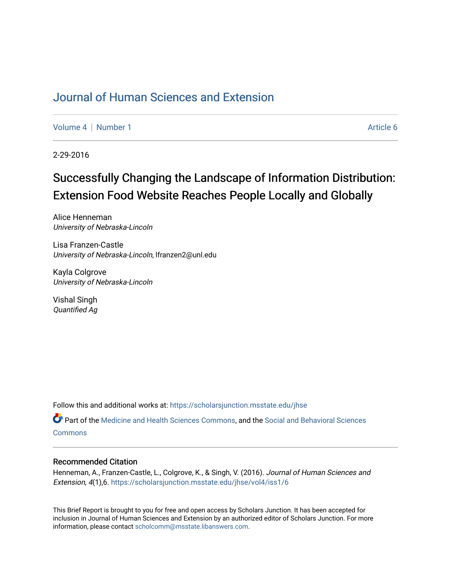# [Journal of Human Sciences and Extension](https://scholarsjunction.msstate.edu/jhse)

[Volume 4](https://scholarsjunction.msstate.edu/jhse/vol4) | [Number 1](https://scholarsjunction.msstate.edu/jhse/vol4/iss1) Article 6

2-29-2016

# Successfully Changing the Landscape of Information Distribution: Extension Food Website Reaches People Locally and Globally

Alice Henneman University of Nebraska-Lincoln

Lisa Franzen-Castle University of Nebraska-Lincoln, lfranzen2@unl.edu

Kayla Colgrove University of Nebraska-Lincoln

Vishal Singh Quantified Ag

Follow this and additional works at: [https://scholarsjunction.msstate.edu/jhse](https://scholarsjunction.msstate.edu/jhse?utm_source=scholarsjunction.msstate.edu%2Fjhse%2Fvol4%2Fiss1%2F6&utm_medium=PDF&utm_campaign=PDFCoverPages)

Part of the [Medicine and Health Sciences Commons,](http://network.bepress.com/hgg/discipline/648?utm_source=scholarsjunction.msstate.edu%2Fjhse%2Fvol4%2Fiss1%2F6&utm_medium=PDF&utm_campaign=PDFCoverPages) and the [Social and Behavioral Sciences](http://network.bepress.com/hgg/discipline/316?utm_source=scholarsjunction.msstate.edu%2Fjhse%2Fvol4%2Fiss1%2F6&utm_medium=PDF&utm_campaign=PDFCoverPages) **[Commons](http://network.bepress.com/hgg/discipline/316?utm_source=scholarsjunction.msstate.edu%2Fjhse%2Fvol4%2Fiss1%2F6&utm_medium=PDF&utm_campaign=PDFCoverPages)** 

## Recommended Citation

Henneman, A., Franzen-Castle, L., Colgrove, K., & Singh, V. (2016). Journal of Human Sciences and Extension, 4(1),6. [https://scholarsjunction.msstate.edu/jhse/vol4/iss1/6](https://scholarsjunction.msstate.edu/jhse/vol4/iss1/6?utm_source=scholarsjunction.msstate.edu%2Fjhse%2Fvol4%2Fiss1%2F6&utm_medium=PDF&utm_campaign=PDFCoverPages)

This Brief Report is brought to you for free and open access by Scholars Junction. It has been accepted for inclusion in Journal of Human Sciences and Extension by an authorized editor of Scholars Junction. For more information, please contact [scholcomm@msstate.libanswers.com](mailto:scholcomm@msstate.libanswers.com).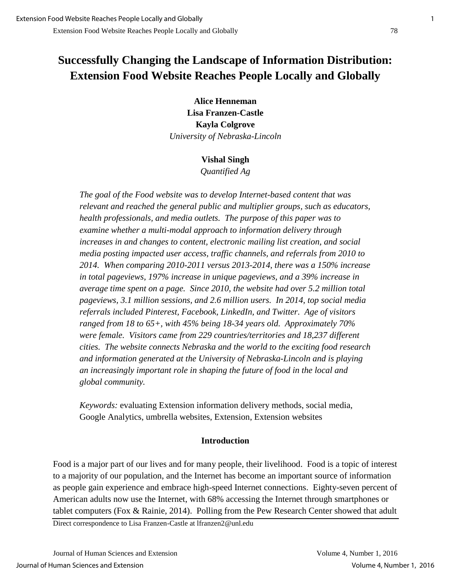# **Successfully Changing the Landscape of Information Distribution: Extension Food Website Reaches People Locally and Globally**

**Alice Henneman Lisa Franzen-Castle Kayla Colgrove**  *University of Nebraska-Lincoln* 

## **Vishal Singh**

*Quantified Ag* 

*The goal of the Food website was to develop Internet-based content that was relevant and reached the general public and multiplier groups, such as educators, health professionals, and media outlets. The purpose of this paper was to examine whether a multi-modal approach to information delivery through increases in and changes to content, electronic mailing list creation, and social media posting impacted user access, traffic channels, and referrals from 2010 to 2014. When comparing 2010-2011 versus 2013-2014, there was a 150% increase in total pageviews, 197% increase in unique pageviews, and a 39% increase in average time spent on a page. Since 2010, the website had over 5.2 million total pageviews, 3.1 million sessions, and 2.6 million users. In 2014, top social media referrals included Pinterest, Facebook, LinkedIn, and Twitter. Age of visitors ranged from 18 to 65+, with 45% being 18-34 years old. Approximately 70% were female. Visitors came from 229 countries/territories and 18,237 different cities. The website connects Nebraska and the world to the exciting food research and information generated at the University of Nebraska-Lincoln and is playing an increasingly important role in shaping the future of food in the local and global community.*

*Keywords:* evaluating Extension information delivery methods, social media, Google Analytics, umbrella websites, Extension, Extension websites

# **Introduction**

Food is a major part of our lives and for many people, their livelihood. Food is a topic of interest to a majority of our population, and the Internet has become an important source of information as people gain experience and embrace high-speed Internet connections. Eighty-seven percent of American adults now use the Internet, with 68% accessing the Internet through smartphones or tablet computers (Fox & Rainie, 2014). Polling from the Pew Research Center showed that adult

Direct correspondence to Lisa Franzen-Castle at lfranzen2@unl.edu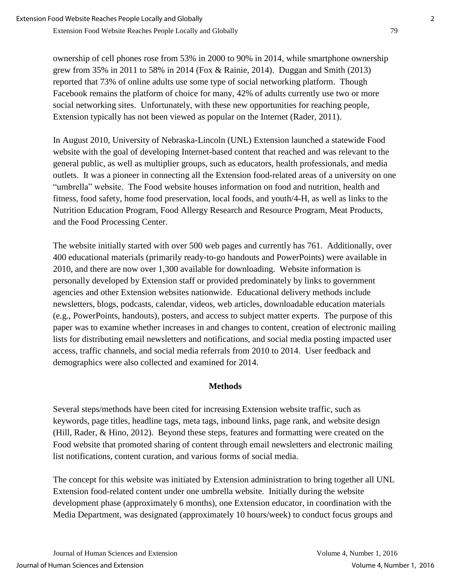ownership of cell phones rose from 53% in 2000 to 90% in 2014, while smartphone ownership grew from 35% in 2011 to 58% in 2014 (Fox & Rainie, 2014). Duggan and Smith (2013) reported that 73% of online adults use some type of social networking platform. Though Facebook remains the platform of choice for many, 42% of adults currently use two or more social networking sites. Unfortunately, with these new opportunities for reaching people, Extension typically has not been viewed as popular on the Internet (Rader, 2011).

In August 2010, University of Nebraska-Lincoln (UNL) Extension launched a statewide Food website with the goal of developing Internet-based content that reached and was relevant to the general public, as well as multiplier groups, such as educators, health professionals, and media outlets. It was a pioneer in connecting all the Extension food-related areas of a university on one "umbrella" website. The Food website houses information on food and nutrition, health and fitness, food safety, home food preservation, local foods, and youth/4-H, as well as links to the Nutrition Education Program, Food Allergy Research and Resource Program, Meat Products, and the Food Processing Center.

The website initially started with over 500 web pages and currently has 761. Additionally, over 400 educational materials (primarily ready-to-go handouts and PowerPoints) were available in 2010, and there are now over 1,300 available for downloading. Website information is personally developed by Extension staff or provided predominately by links to government agencies and other Extension websites nationwide. Educational delivery methods include newsletters, blogs, podcasts, calendar, videos, web articles, downloadable education materials (e.g., PowerPoints, handouts), posters, and access to subject matter experts. The purpose of this paper was to examine whether increases in and changes to content, creation of electronic mailing lists for distributing email newsletters and notifications, and social media posting impacted user access, traffic channels, and social media referrals from 2010 to 2014. User feedback and demographics were also collected and examined for 2014.

# **Methods**

Several steps/methods have been cited for increasing Extension website traffic, such as keywords, page titles, headline tags, meta tags, inbound links, page rank, and website design (Hill, Rader, & Hino, 2012). Beyond these steps, features and formatting were created on the Food website that promoted sharing of content through email newsletters and electronic mailing list notifications, content curation, and various forms of social media.

The concept for this website was initiated by Extension administration to bring together all UNL Extension food-related content under one umbrella website. Initially during the website development phase (approximately 6 months), one Extension educator, in coordination with the Media Department, was designated (approximately 10 hours/week) to conduct focus groups and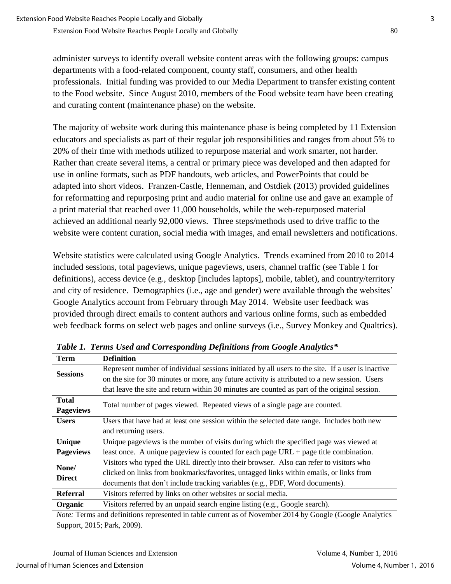administer surveys to identify overall website content areas with the following groups: campus departments with a food-related component, county staff, consumers, and other health professionals. Initial funding was provided to our Media Department to transfer existing content to the Food website. Since August 2010, members of the Food website team have been creating and curating content (maintenance phase) on the website.

The majority of website work during this maintenance phase is being completed by 11 Extension educators and specialists as part of their regular job responsibilities and ranges from about 5% to 20% of their time with methods utilized to repurpose material and work smarter, not harder. Rather than create several items, a central or primary piece was developed and then adapted for use in online formats, such as PDF handouts, web articles, and PowerPoints that could be adapted into short videos. Franzen-Castle, Henneman, and Ostdiek (2013) provided guidelines for reformatting and repurposing print and audio material for online use and gave an example of a print material that reached over 11,000 households, while the web-repurposed material achieved an additional nearly 92,000 views. Three steps/methods used to drive traffic to the website were content curation, social media with images, and email newsletters and notifications.

Website statistics were calculated using Google Analytics. Trends examined from 2010 to 2014 included sessions, total pageviews, unique pageviews, users, channel traffic (see Table 1 for definitions), access device (e.g., desktop [includes laptops], mobile, tablet), and country/territory and city of residence. Demographics (i.e., age and gender) were available through the websites' Google Analytics account from February through May 2014. Website user feedback was provided through direct emails to content authors and various online forms, such as embedded web feedback forms on select web pages and online surveys (i.e., Survey Monkey and Qualtrics).

| <b>Term</b>                                                                                            | <b>Definition</b>                                                                                 |  |  |
|--------------------------------------------------------------------------------------------------------|---------------------------------------------------------------------------------------------------|--|--|
|                                                                                                        |                                                                                                   |  |  |
| <b>Sessions</b>                                                                                        | Represent number of individual sessions initiated by all users to the site. If a user is inactive |  |  |
|                                                                                                        | on the site for 30 minutes or more, any future activity is attributed to a new session. Users     |  |  |
|                                                                                                        | that leave the site and return within 30 minutes are counted as part of the original session.     |  |  |
| <b>Total</b>                                                                                           |                                                                                                   |  |  |
| <b>Pageviews</b>                                                                                       | Total number of pages viewed. Repeated views of a single page are counted.                        |  |  |
| <b>Users</b>                                                                                           | Users that have had at least one session within the selected date range. Includes both new        |  |  |
|                                                                                                        | and returning users.                                                                              |  |  |
| Unique                                                                                                 | Unique pageviews is the number of visits during which the specified page was viewed at            |  |  |
| <b>Pageviews</b>                                                                                       | least once. A unique pageview is counted for each page $URL + page$ title combination.            |  |  |
| None/<br><b>Direct</b>                                                                                 | Visitors who typed the URL directly into their browser. Also can refer to visitors who            |  |  |
|                                                                                                        | clicked on links from bookmarks/favorites, untagged links within emails, or links from            |  |  |
|                                                                                                        | documents that don't include tracking variables (e.g., PDF, Word documents).                      |  |  |
| <b>Referral</b>                                                                                        | Visitors referred by links on other websites or social media.                                     |  |  |
| Organic                                                                                                | Visitors referred by an unpaid search engine listing (e.g., Google search).                       |  |  |
| Nata Tanna and definitions nonpresented in table sympatres of Newsman 2014 by Casale (Casale Anglytias |                                                                                                   |  |  |

*Table 1. Terms Used and Corresponding Definitions from Google Analytics\**

*Note:* Terms and definitions represented in table current as of November 2014 by Google (Google Analytics Support, 2015; Park, 2009).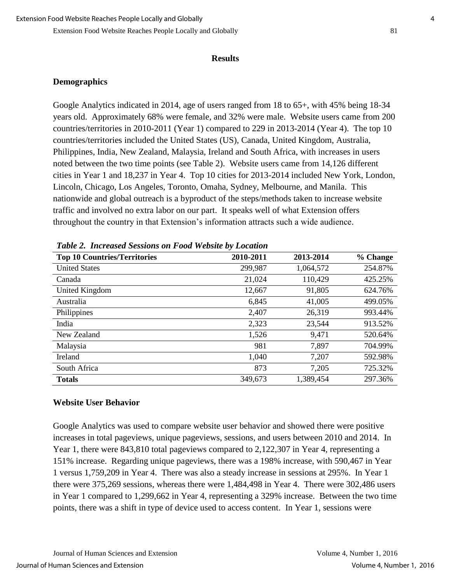#### **Results**

## **Demographics**

Google Analytics indicated in 2014, age of users ranged from 18 to 65+, with 45% being 18-34 years old. Approximately 68% were female, and 32% were male. Website users came from 200 countries/territories in 2010-2011 (Year 1) compared to 229 in 2013-2014 (Year 4). The top 10 countries/territories included the United States (US), Canada, United Kingdom, Australia, Philippines, India, New Zealand, Malaysia, Ireland and South Africa, with increases in users noted between the two time points (see Table 2). Website users came from 14,126 different cities in Year 1 and 18,237 in Year 4. Top 10 cities for 2013-2014 included New York, London, Lincoln, Chicago, Los Angeles, Toronto, Omaha, Sydney, Melbourne, and Manila. This nationwide and global outreach is a byproduct of the steps/methods taken to increase website traffic and involved no extra labor on our part. It speaks well of what Extension offers throughout the country in that Extension's information attracts such a wide audience.

| <b>Top 10 Countries/Territories</b> | 2010-2011 | 2013-2014 | % Change |
|-------------------------------------|-----------|-----------|----------|
| <b>United States</b>                | 299,987   | 1,064,572 | 254.87%  |
| Canada                              | 21,024    | 110,429   | 425.25%  |
| United Kingdom                      | 12,667    | 91,805    | 624.76%  |
| Australia                           | 6,845     | 41,005    | 499.05%  |
| Philippines                         | 2,407     | 26,319    | 993.44%  |
| India                               | 2,323     | 23,544    | 913.52%  |
| New Zealand                         | 1,526     | 9,471     | 520.64%  |
| Malaysia                            | 981       | 7,897     | 704.99%  |
| Ireland                             | 1,040     | 7,207     | 592.98%  |
| South Africa                        | 873       | 7,205     | 725.32%  |
| <b>Totals</b>                       | 349,673   | 1,389,454 | 297.36%  |

*Table 2. Increased Sessions on Food Website by Location*

## **Website User Behavior**

Google Analytics was used to compare website user behavior and showed there were positive increases in total pageviews, unique pageviews, sessions, and users between 2010 and 2014. In Year 1, there were 843,810 total pageviews compared to 2,122,307 in Year 4, representing a 151% increase. Regarding unique pageviews, there was a 198% increase, with 590,467 in Year 1 versus 1,759,209 in Year 4. There was also a steady increase in sessions at 295%. In Year 1 there were 375,269 sessions, whereas there were 1,484,498 in Year 4. There were 302,486 users in Year 1 compared to 1,299,662 in Year 4, representing a 329% increase. Between the two time points, there was a shift in type of device used to access content. In Year 1, sessions were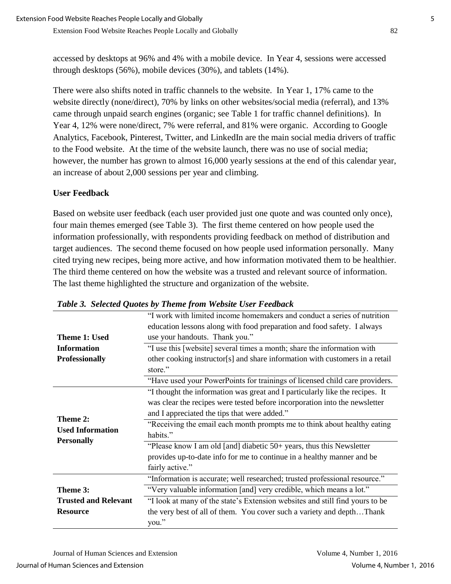accessed by desktops at 96% and 4% with a mobile device. In Year 4, sessions were accessed through desktops (56%), mobile devices (30%), and tablets (14%).

There were also shifts noted in traffic channels to the website. In Year 1, 17% came to the website directly (none/direct), 70% by links on other websites/social media (referral), and 13% came through unpaid search engines (organic; see Table 1 for traffic channel definitions). In Year 4, 12% were none/direct, 7% were referral, and 81% were organic. According to Google Analytics, Facebook, Pinterest, Twitter, and LinkedIn are the main social media drivers of traffic to the Food website. At the time of the website launch, there was no use of social media; however, the number has grown to almost 16,000 yearly sessions at the end of this calendar year, an increase of about 2,000 sessions per year and climbing.

# **User Feedback**

Based on website user feedback (each user provided just one quote and was counted only once), four main themes emerged (see Table 3). The first theme centered on how people used the information professionally, with respondents providing feedback on method of distribution and target audiences. The second theme focused on how people used information personally. Many cited trying new recipes, being more active, and how information motivated them to be healthier. The third theme centered on how the website was a trusted and relevant source of information. The last theme highlighted the structure and organization of the website.

|                             | "I work with limited income homemakers and conduct a series of nutrition     |
|-----------------------------|------------------------------------------------------------------------------|
|                             | education lessons along with food preparation and food safety. I always      |
| <b>Theme 1: Used</b>        | use your handouts. Thank you."                                               |
| <b>Information</b>          | "I use this [website] several times a month; share the information with      |
| <b>Professionally</b>       | other cooking instructor[s] and share information with customers in a retail |
|                             | store."                                                                      |
|                             | "Have used your PowerPoints for trainings of licensed child care providers.  |
|                             | "I thought the information was great and I particularly like the recipes. It |
|                             | was clear the recipes were tested before incorporation into the newsletter   |
|                             | and I appreciated the tips that were added."                                 |
| Theme 2:                    | "Receiving the email each month prompts me to think about healthy eating     |
| <b>Used Information</b>     | habits."                                                                     |
| <b>Personally</b>           | "Please know I am old [and] diabetic 50+ years, thus this Newsletter         |
|                             | provides up-to-date info for me to continue in a healthy manner and be       |
|                             | fairly active."                                                              |
|                             | "Information is accurate; well researched; trusted professional resource."   |
| Theme 3:                    | "Very valuable information [and] very credible, which means a lot."          |
| <b>Trusted and Relevant</b> | "I look at many of the state's Extension websites and still find yours to be |
| <b>Resource</b>             | the very best of all of them. You cover such a variety and depthThank        |
|                             | you."                                                                        |

# *Table 3. Selected Quotes by Theme from Website User Feedback*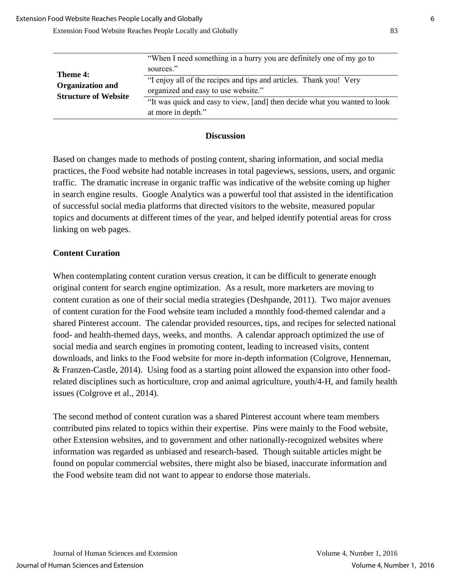|                             | "When I need something in a hurry you are definitely one of my go to      |
|-----------------------------|---------------------------------------------------------------------------|
| Theme 4:                    | sources."                                                                 |
| <b>Organization and</b>     | "I enjoy all of the recipes and tips and articles. Thank you! Very        |
| <b>Structure of Website</b> | organized and easy to use website."                                       |
|                             | "It was quick and easy to view, [and] then decide what you wanted to look |
|                             | at more in depth."                                                        |

## **Discussion**

Based on changes made to methods of posting content, sharing information, and social media practices, the Food website had notable increases in total pageviews, sessions, users, and organic traffic. The dramatic increase in organic traffic was indicative of the website coming up higher in search engine results. Google Analytics was a powerful tool that assisted in the identification of successful social media platforms that directed visitors to the website, measured popular topics and documents at different times of the year, and helped identify potential areas for cross linking on web pages.

## **Content Curation**

When contemplating content curation versus creation, it can be difficult to generate enough original content for search engine optimization. As a result, more marketers are moving to content curation as one of their social media strategies (Deshpande, 2011). Two major avenues of content curation for the Food website team included a monthly food-themed calendar and a shared Pinterest account. The calendar provided resources, tips, and recipes for selected national food- and health-themed days, weeks, and months. A calendar approach optimized the use of social media and search engines in promoting content, leading to increased visits, content downloads, and links to the Food website for more in-depth information (Colgrove, Henneman, & Franzen-Castle, 2014). Using food as a starting point allowed the expansion into other foodrelated disciplines such as horticulture, crop and animal agriculture, youth/4-H, and family health issues (Colgrove et al., 2014).

The second method of content curation was a shared Pinterest account where team members contributed pins related to topics within their expertise. Pins were mainly to the Food website, other Extension websites, and to government and other nationally-recognized websites where information was regarded as unbiased and research-based. Though suitable articles might be found on popular commercial websites, there might also be biased, inaccurate information and the Food website team did not want to appear to endorse those materials.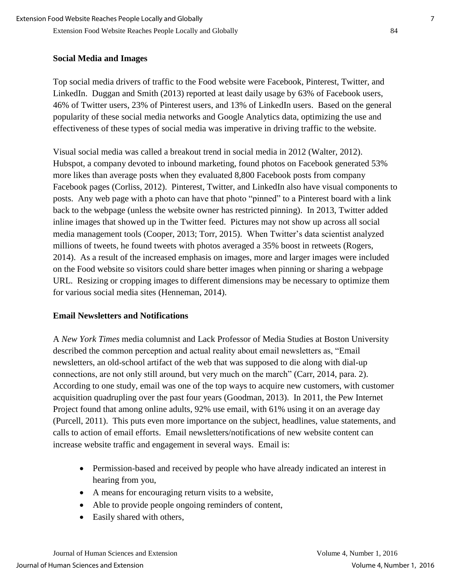# **Social Media and Images**

Top social media drivers of traffic to the Food website were Facebook, Pinterest, Twitter, and LinkedIn. Duggan and Smith (2013) reported at least daily usage by 63% of Facebook users, 46% of Twitter users, 23% of Pinterest users, and 13% of LinkedIn users. Based on the general popularity of these social media networks and Google Analytics data, optimizing the use and effectiveness of these types of social media was imperative in driving traffic to the website.

Visual social media was called a breakout trend in social media in 2012 (Walter, 2012). Hubspot, a company devoted to inbound marketing, found photos on Facebook generated 53% more likes than average posts when they evaluated 8,800 Facebook posts from company Facebook pages (Corliss, 2012). Pinterest, Twitter, and LinkedIn also have visual components to posts. Any web page with a photo can have that photo "pinned" to a Pinterest board with a link back to the webpage (unless the website owner has restricted pinning). In 2013, Twitter added inline images that showed up in the Twitter feed. Pictures may not show up across all social media management tools (Cooper, 2013; Torr, 2015). When Twitter's data scientist analyzed millions of tweets, he found tweets with photos averaged a 35% boost in retweets (Rogers, 2014). As a result of the increased emphasis on images, more and larger images were included on the Food website so visitors could share better images when pinning or sharing a webpage URL. Resizing or cropping images to different dimensions may be necessary to optimize them for various social media sites (Henneman, 2014).

# **Email Newsletters and Notifications**

A *New York Times* media columnist and Lack Professor of Media Studies at Boston University described the common perception and actual reality about email newsletters as, "Email newsletters, an old-school artifact of the web that was supposed to die along with dial-up connections, are not only still around, but very much on the march" (Carr, 2014, para. 2). According to one study, email was one of the top ways to acquire new customers, with customer acquisition quadrupling over the past four years (Goodman, 2013). In 2011, the Pew Internet Project found that among online adults, 92% use email, with 61% using it on an average day (Purcell, 2011). This puts even more importance on the subject, headlines, value statements, and calls to action of email efforts. Email newsletters/notifications of new website content can increase website traffic and engagement in several ways. Email is:

- Permission-based and received by people who have already indicated an interest in hearing from you,
- A means for encouraging return visits to a website,
- Able to provide people ongoing reminders of content,
- Easily shared with others,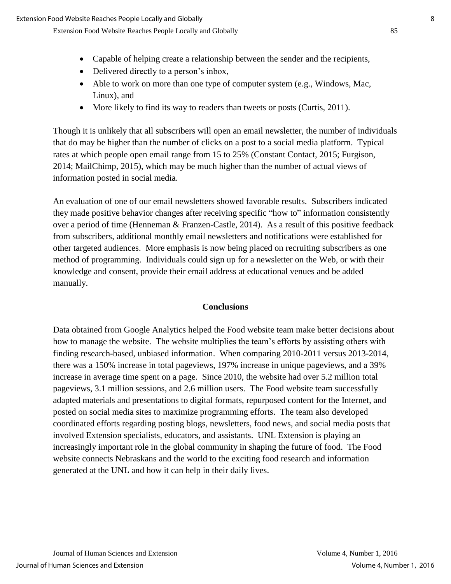- Capable of helping create a relationship between the sender and the recipients,
- Delivered directly to a person's inbox,
- Able to work on more than one type of computer system (e.g., Windows, Mac, Linux), and
- More likely to find its way to readers than tweets or posts (Curtis, 2011).

Though it is unlikely that all subscribers will open an email newsletter, the number of individuals that do may be higher than the number of clicks on a post to a social media platform. Typical rates at which people open email range from 15 to 25% (Constant Contact, 2015; Furgison, 2014; MailChimp, 2015), which may be much higher than the number of actual views of information posted in social media.

An evaluation of one of our email newsletters showed favorable results. Subscribers indicated they made positive behavior changes after receiving specific "how to" information consistently over a period of time (Henneman & Franzen-Castle, 2014). As a result of this positive feedback from subscribers, additional monthly email newsletters and notifications were established for other targeted audiences. More emphasis is now being placed on recruiting subscribers as one method of programming. Individuals could sign up for a newsletter on the Web, or with their knowledge and consent, provide their email address at educational venues and be added manually.

## **Conclusions**

Data obtained from Google Analytics helped the Food website team make better decisions about how to manage the website. The website multiplies the team's efforts by assisting others with finding research-based, unbiased information. When comparing 2010-2011 versus 2013-2014, there was a 150% increase in total pageviews, 197% increase in unique pageviews, and a 39% increase in average time spent on a page. Since 2010, the website had over 5.2 million total pageviews, 3.1 million sessions, and 2.6 million users. The Food website team successfully adapted materials and presentations to digital formats, repurposed content for the Internet, and posted on social media sites to maximize programming efforts. The team also developed coordinated efforts regarding posting blogs, newsletters, food news, and social media posts that involved Extension specialists, educators, and assistants. UNL Extension is playing an increasingly important role in the global community in shaping the future of food. The Food website connects Nebraskans and the world to the exciting food research and information generated at the UNL and how it can help in their daily lives.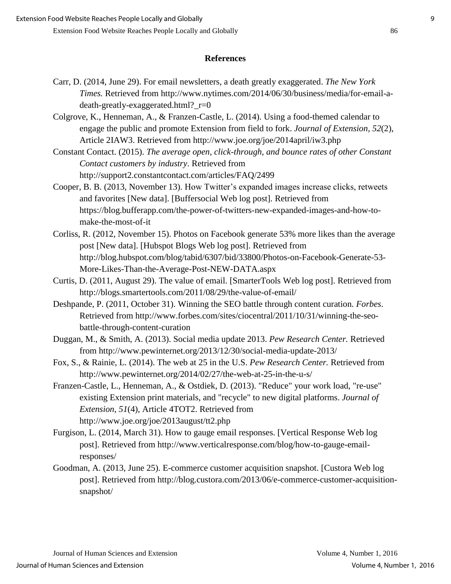#### **References**

- Carr, D. (2014, June 29). For email newsletters, a death greatly exaggerated. *The New York Times.* Retrieved from http://www.nytimes.com/2014/06/30/business/media/for-email-adeath-greatly-exaggerated.html?\_r=0
- Colgrove, K., Henneman, A., & Franzen-Castle, L. (2014). Using a food-themed calendar to engage the public and promote Extension from field to fork. *Journal of Extension, 52*(2), Article 2IAW3. Retrieved from http://www.joe.org/joe/2014april/iw3.php
- Constant Contact. (2015). *The average open, click-through, and bounce rates of other Constant Contact customers by industry*. Retrieved from http://support2.constantcontact.com/articles/FAQ/2499
- Cooper, B. B. (2013, November 13). How Twitter's expanded images increase clicks, retweets and favorites [New data]. [Buffersocial Web log post]*.* Retrieved from https://blog.bufferapp.com/the-power-of-twitters-new-expanded-images-and-how-tomake-the-most-of-it
- Corliss, R. (2012, November 15). Photos on Facebook generate 53% more likes than the average post [New data]. [Hubspot Blogs Web log post]. Retrieved from http://blog.hubspot.com/blog/tabid/6307/bid/33800/Photos-on-Facebook-Generate-53- More-Likes-Than-the-Average-Post-NEW-DATA.aspx
- Curtis, D. (2011, August 29). The value of email. [SmarterTools Web log post]. Retrieved from http://blogs.smartertools.com/2011/08/29/the-value-of-email/
- Deshpande, P. (2011, October 31). Winning the SEO battle through content curation. *Forbes*. Retrieved from http://www.forbes.com/sites/ciocentral/2011/10/31/winning-the-seobattle-through-content-curation
- Duggan, M., & Smith, A. (2013). Social media update 2013. *Pew Research Center.* Retrieved from http://www.pewinternet.org/2013/12/30/social-media-update-2013/
- Fox, S., & Rainie, L. (2014). The web at 25 in the U.S. *Pew Research Center.* Retrieved from http://www.pewinternet.org/2014/02/27/the-web-at-25-in-the-u-s/
- Franzen-Castle, L., Henneman, A., & Ostdiek, D. (2013). "Reduce" your work load, "re-use" existing Extension print materials, and "recycle" to new digital platforms. *Journal of Extension, 51*(4), Article 4TOT2. Retrieved from http://www.joe.org/joe/2013august/tt2.php
- Furgison, L. (2014, March 31). How to gauge email responses. [Vertical Response Web log post]. Retrieved from http://www.verticalresponse.com/blog/how-to-gauge-emailresponses/
- Goodman, A. (2013, June 25). E-commerce customer acquisition snapshot. [Custora Web log post]. Retrieved from http://blog.custora.com/2013/06/e-commerce-customer-acquisitionsnapshot/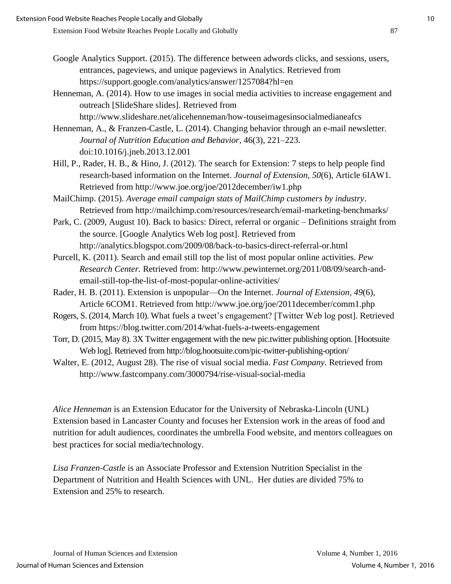- Google Analytics Support. (2015). The difference between adwords clicks, and sessions, users, entrances, pageviews, and unique pageviews in Analytics. Retrieved from https://support.google.com/analytics/answer/1257084?hl=en
- Henneman, A. (2014). How to use images in social media activities to increase engagement and outreach [SlideShare slides]. Retrieved from http://www.slideshare.net/alicehenneman/how-touseimagesinsocialmedianeafcs

Henneman, A., & Franzen-Castle, L. (2014). Changing behavior through an e-mail newsletter. *Journal of Nutrition Education and Behavior,* 46(3), 221–223. doi:10.1016/j.jneb.2013.12.001

Hill, P., Rader, H. B., & Hino, J. (2012). The search for Extension: 7 steps to help people find research-based information on the Internet. *Journal of Extension, 50*(6), Article 6IAW1. Retrieved from http://www.joe.org/joe/2012december/iw1.php

MailChimp. (2015). *Average email campaign stats of MailChimp customers by industry*. Retrieved from http://mailchimp.com/resources/research/email-marketing-benchmarks/

Park, C. (2009, August 10). Back to basics: Direct, referral or organic – Definitions straight from the source. [Google Analytics Web log post]. Retrieved from http://analytics.blogspot.com/2009/08/back-to-basics-direct-referral-or.html

Purcell, K. (2011). Search and email still top the list of most popular online activities. *Pew Research Center.* Retrieved from: http://www.pewinternet.org/2011/08/09/search-andemail-still-top-the-list-of-most-popular-online-activities/

- Rader, H. B. (2011). Extension is unpopular—On the Internet. *Journal of Extension, 49*(6), Article 6COM1. Retrieved from http://www.joe.org/joe/2011december/comm1.php
- Rogers, S. (2014, March 10). What fuels a tweet's engagement? [Twitter Web log post]. Retrieved from https://blog.twitter.com/2014/what-fuels-a-tweets-engagement
- Torr, D. (2015, May 8). 3X Twitter engagement with the new pic.twitter publishing option. [Hootsuite Web log]. Retrieved from http://blog.hootsuite.com/pic-twitter-publishing-option/
- Walter, E. (2012, August 28). The rise of visual social media. *Fast Company*. Retrieved from http://www.fastcompany.com/3000794/rise-visual-social-media

*Alice Henneman* is an Extension Educator for the University of Nebraska-Lincoln (UNL) Extension based in Lancaster County and focuses her Extension work in the areas of food and nutrition for adult audiences, coordinates the umbrella Food website, and mentors colleagues on best practices for social media/technology.

*Lisa Franzen-Castle* is an Associate Professor and Extension Nutrition Specialist in the Department of Nutrition and Health Sciences with UNL. Her duties are divided 75% to Extension and 25% to research.